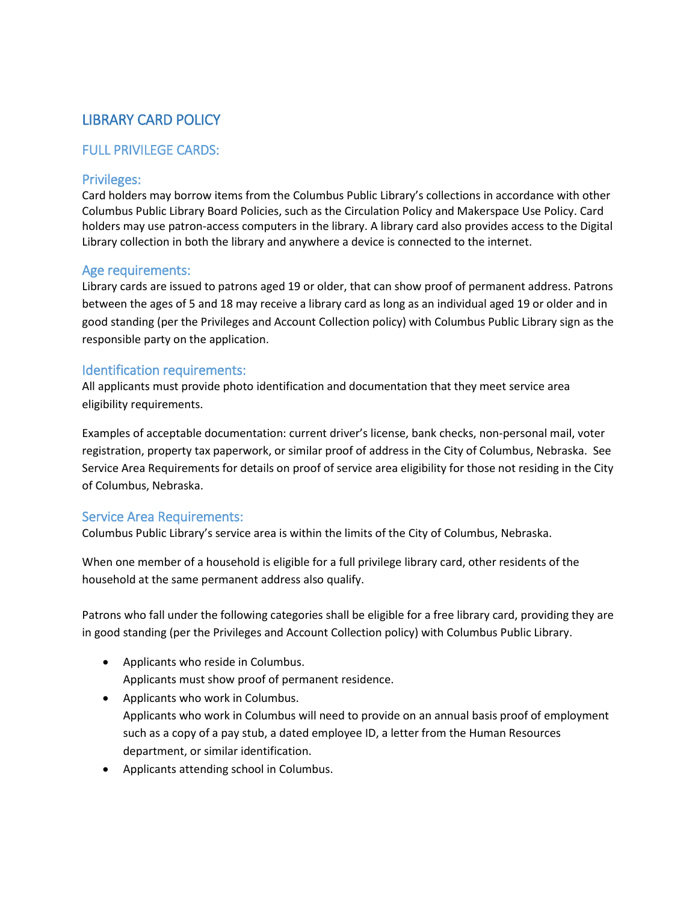# LIBRARY CARD POLICY

# FULL PRIVILEGE CARDS:

## Privileges:

Card holders may borrow items from the Columbus Public Library's collections in accordance with other Columbus Public Library Board Policies, such as the Circulation Policy and Makerspace Use Policy. Card holders may use patron-access computers in the library. A library card also provides access to the Digital Library collection in both the library and anywhere a device is connected to the internet.

## Age requirements:

Library cards are issued to patrons aged 19 or older, that can show proof of permanent address. Patrons between the ages of 5 and 18 may receive a library card as long as an individual aged 19 or older and in good standing (per the Privileges and Account Collection policy) with Columbus Public Library sign as the responsible party on the application.

## Identification requirements:

All applicants must provide photo identification and documentation that they meet service area eligibility requirements.

Examples of acceptable documentation: current driver's license, bank checks, non-personal mail, voter registration, property tax paperwork, or similar proof of address in the City of Columbus, Nebraska. See Service Area Requirements for details on proof of service area eligibility for those not residing in the City of Columbus, Nebraska.

## Service Area Requirements:

Columbus Public Library's service area is within the limits of the City of Columbus, Nebraska.

When one member of a household is eligible for a full privilege library card, other residents of the household at the same permanent address also qualify.

Patrons who fall under the following categories shall be eligible for a free library card, providing they are in good standing (per the Privileges and Account Collection policy) with Columbus Public Library.

- Applicants who reside in Columbus. Applicants must show proof of permanent residence.
- Applicants who work in Columbus. Applicants who work in Columbus will need to provide on an annual basis proof of employment such as a copy of a pay stub, a dated employee ID, a letter from the Human Resources department, or similar identification.
- Applicants attending school in Columbus.